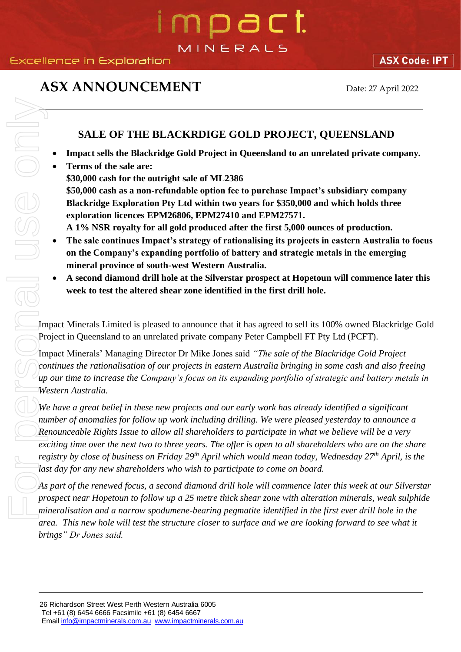# n pa c t. MINERALS

# **ASX ANNOUNCEMENT** Date: 27 April 2022

#### **SALE OF THE BLACKRDIGE GOLD PROJECT, QUEENSLAND**

- **Impact sells the Blackridge Gold Project in Queensland to an unrelated private company.**
- **Terms of the sale are: \$30,000 cash for the outright sale of ML2386 \$50,000 cash as a non-refundable option fee to purchase Impact's subsidiary company Blackridge Exploration Pty Ltd within two years for \$350,000 and which holds three exploration licences EPM26806, EPM27410 and EPM27571. A 1% NSR royalty for all gold produced after the first 5,000 ounces of production.**
- **The sale continues Impact's strategy of rationalising its projects in eastern Australia to focus on the Company's expanding portfolio of battery and strategic metals in the emerging mineral province of south-west Western Australia.**
- **A second diamond drill hole at the Silverstar prospect at Hopetoun will commence later this week to test the altered shear zone identified in the first drill hole.**

Impact Minerals Limited is pleased to announce that it has agreed to sell its 100% owned Blackridge Gold Project in Queensland to an unrelated private company Peter Campbell FT Pty Ltd (PCFT).

Impact Minerals' Managing Director Dr Mike Jones said *"The sale of the Blackridge Gold Project continues the rationalisation of our projects in eastern Australia bringing in some cash and also freeing up our time to increase the Company's focus on its expanding portfolio of strategic and battery metals in Western Australia.*

*We have a great belief in these new projects and our early work has already identified a significant number of anomalies for follow up work including drilling. We were pleased yesterday to announce a Renounceable Rights Issue to allow all shareholders to participate in what we believe will be a very exciting time over the next two to three years. The offer is open to all shareholders who are on the share registry by close of business on Friday 29th April which would mean today, Wednesday 27th April, is the*  last day for any new shareholders who wish to participate to come on board.

*As part of the renewed focus, a second diamond drill hole will commence later this week at our Silverstar prospect near Hopetoun to follow up a 25 metre thick shear zone with alteration minerals, weak sulphide mineralisation and a narrow spodumene-bearing pegmatite identified in the first ever drill hole in the area. This new hole will test the structure closer to surface and we are looking forward to see what it*